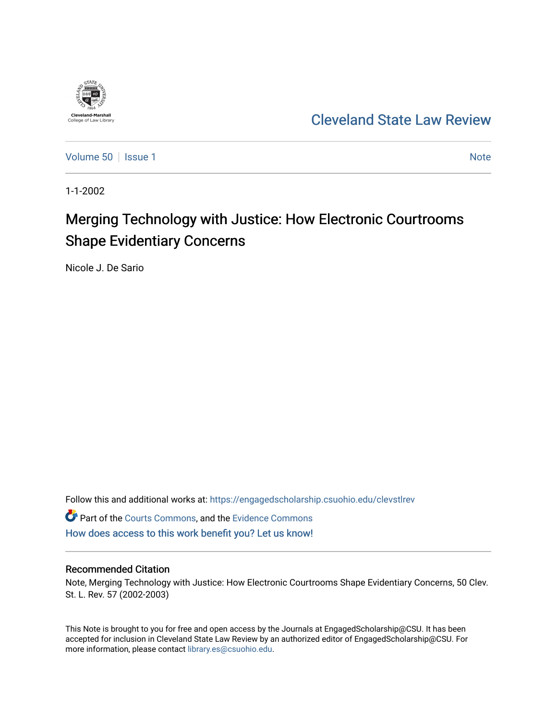

[Cleveland State Law Review](https://engagedscholarship.csuohio.edu/clevstlrev) 

[Volume 50](https://engagedscholarship.csuohio.edu/clevstlrev/vol50) | [Issue 1](https://engagedscholarship.csuohio.edu/clevstlrev/vol50/iss1) Note

1-1-2002

# Merging Technology with Justice: How Electronic Courtrooms Shape Evidentiary Concerns

Nicole J. De Sario

Follow this and additional works at: [https://engagedscholarship.csuohio.edu/clevstlrev](https://engagedscholarship.csuohio.edu/clevstlrev?utm_source=engagedscholarship.csuohio.edu%2Fclevstlrev%2Fvol50%2Fiss1%2F5&utm_medium=PDF&utm_campaign=PDFCoverPages)

Part of the [Courts Commons,](http://network.bepress.com/hgg/discipline/839?utm_source=engagedscholarship.csuohio.edu%2Fclevstlrev%2Fvol50%2Fiss1%2F5&utm_medium=PDF&utm_campaign=PDFCoverPages) and the [Evidence Commons](http://network.bepress.com/hgg/discipline/601?utm_source=engagedscholarship.csuohio.edu%2Fclevstlrev%2Fvol50%2Fiss1%2F5&utm_medium=PDF&utm_campaign=PDFCoverPages)  [How does access to this work benefit you? Let us know!](http://library.csuohio.edu/engaged/)

# Recommended Citation

Note, Merging Technology with Justice: How Electronic Courtrooms Shape Evidentiary Concerns, 50 Clev. St. L. Rev. 57 (2002-2003)

This Note is brought to you for free and open access by the Journals at EngagedScholarship@CSU. It has been accepted for inclusion in Cleveland State Law Review by an authorized editor of EngagedScholarship@CSU. For more information, please contact [library.es@csuohio.edu](mailto:library.es@csuohio.edu).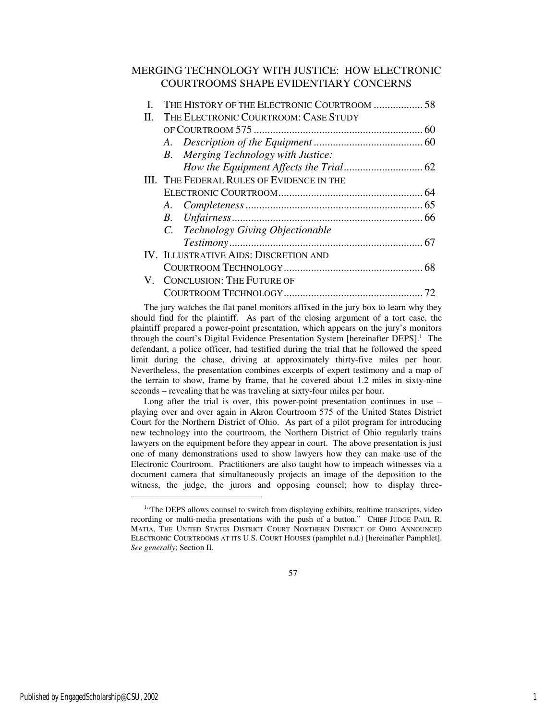# MERGING TECHNOLOGY WITH JUSTICE: HOW ELECTRONIC COURTROOMS SHAPE EVIDENTIARY CONCERNS

| THE HISTORY OF THE ELECTRONIC COURTROOM  58     |                                                                                                                    |
|-------------------------------------------------|--------------------------------------------------------------------------------------------------------------------|
| THE ELECTRONIC COURTROOM: CASE STUDY            |                                                                                                                    |
|                                                 |                                                                                                                    |
|                                                 |                                                                                                                    |
| Merging Technology with Justice:<br>$B_{\cdot}$ |                                                                                                                    |
|                                                 |                                                                                                                    |
|                                                 |                                                                                                                    |
|                                                 |                                                                                                                    |
|                                                 |                                                                                                                    |
| B.                                              |                                                                                                                    |
| C. Technology Giving Objectionable              |                                                                                                                    |
|                                                 |                                                                                                                    |
|                                                 |                                                                                                                    |
|                                                 |                                                                                                                    |
|                                                 |                                                                                                                    |
|                                                 |                                                                                                                    |
|                                                 | III. THE FEDERAL RULES OF EVIDENCE IN THE<br>IV. ILLUSTRATIVE AIDS: DISCRETION AND<br>V. CONCLUSION: THE FUTURE OF |

The jury watches the flat panel monitors affixed in the jury box to learn why they should find for the plaintiff. As part of the closing argument of a tort case, the plaintiff prepared a power-point presentation, which appears on the jury's monitors through the court's Digital Evidence Presentation System [hereinafter DEPS].<sup>1</sup> The defendant, a police officer, had testified during the trial that he followed the speed limit during the chase, driving at approximately thirty-five miles per hour. Nevertheless, the presentation combines excerpts of expert testimony and a map of the terrain to show, frame by frame, that he covered about 1.2 miles in sixty-nine seconds – revealing that he was traveling at sixty-four miles per hour.

Long after the trial is over, this power-point presentation continues in use – playing over and over again in Akron Courtroom 575 of the United States District Court for the Northern District of Ohio. As part of a pilot program for introducing new technology into the courtroom, the Northern District of Ohio regularly trains lawyers on the equipment before they appear in court. The above presentation is just one of many demonstrations used to show lawyers how they can make use of the Electronic Courtroom. Practitioners are also taught how to impeach witnesses via a document camera that simultaneously projects an image of the deposition to the witness, the judge, the jurors and opposing counsel; how to display three-

57

1

<sup>&</sup>lt;sup>1.</sup>The DEPS allows counsel to switch from displaying exhibits, realtime transcripts, video recording or multi-media presentations with the push of a button." CHIEF JUDGE PAUL R. MATIA, THE UNITED STATES DISTRICT COURT NORTHERN DISTRICT OF OHIO ANNOUNCED ELECTRONIC COURTROOMS AT ITS U.S. COURT HOUSES (pamphlet n.d.) [hereinafter Pamphlet]. *See generally*; Section II.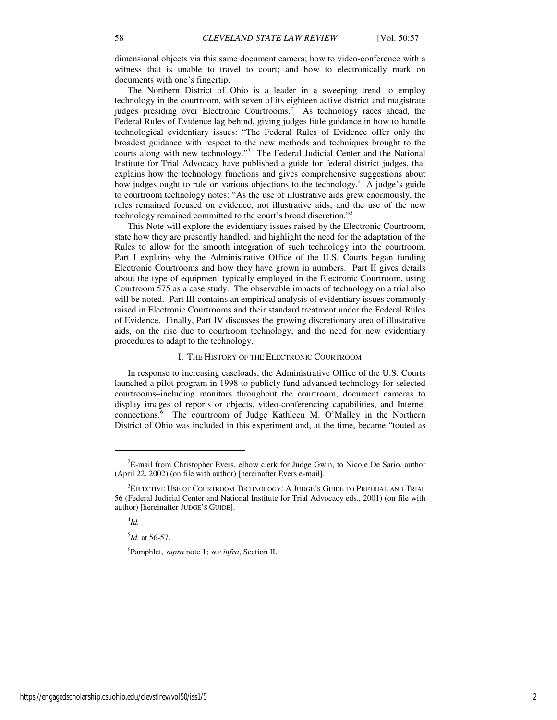dimensional objects via this same document camera; how to video-conference with a witness that is unable to travel to court; and how to electronically mark on documents with one's fingertip.

The Northern District of Ohio is a leader in a sweeping trend to employ technology in the courtroom, with seven of its eighteen active district and magistrate judges presiding over Electronic Courtrooms.<sup>2</sup> As technology races ahead, the Federal Rules of Evidence lag behind, giving judges little guidance in how to handle technological evidentiary issues: "The Federal Rules of Evidence offer only the broadest guidance with respect to the new methods and techniques brought to the courts along with new technology."<sup>3</sup> The Federal Judicial Center and the National Institute for Trial Advocacy have published a guide for federal district judges, that explains how the technology functions and gives comprehensive suggestions about how judges ought to rule on various objections to the technology.<sup>4</sup> A judge's guide to courtroom technology notes: "As the use of illustrative aids grew enormously, the rules remained focused on evidence, not illustrative aids, and the use of the new technology remained committed to the court's broad discretion."<sup>5</sup>

This Note will explore the evidentiary issues raised by the Electronic Courtroom, state how they are presently handled, and highlight the need for the adaptation of the Rules to allow for the smooth integration of such technology into the courtroom. Part I explains why the Administrative Office of the U.S. Courts began funding Electronic Courtrooms and how they have grown in numbers. Part II gives details about the type of equipment typically employed in the Electronic Courtroom, using Courtroom 575 as a case study. The observable impacts of technology on a trial also will be noted. Part III contains an empirical analysis of evidentiary issues commonly raised in Electronic Courtrooms and their standard treatment under the Federal Rules of Evidence. Finally, Part IV discusses the growing discretionary area of illustrative aids, on the rise due to courtroom technology, and the need for new evidentiary procedures to adapt to the technology.

## I. THE HISTORY OF THE ELECTRONIC COURTROOM

In response to increasing caseloads, the Administrative Office of the U.S. Courts launched a pilot program in 1998 to publicly fund advanced technology for selected courtrooms–including monitors throughout the courtroom, document cameras to display images of reports or objects, video-conferencing capabilities, and Internet connections.<sup>6</sup> The courtroom of Judge Kathleen M. O'Malley in the Northern District of Ohio was included in this experiment and, at the time, became "touted as

4 *Id.* 

j

5 *Id.* at 56-57.

6 Pamphlet, *supra* note 1; *see infra*, Section II.

<sup>2</sup>E-mail from Christopher Evers, elbow clerk for Judge Gwin, to Nicole De Sario, author (April 22, 2002) (on file with author) [hereinafter Evers e-mail].

 $3$ EFFECTIVE USE OF COURTROOM TECHNOLOGY: A JUDGE'S GUIDE TO PRETRIAL AND TRIAL 56 (Federal Judicial Center and National Institute for Trial Advocacy eds., 2001) (on file with author) [hereinafter JUDGE'S GUIDE].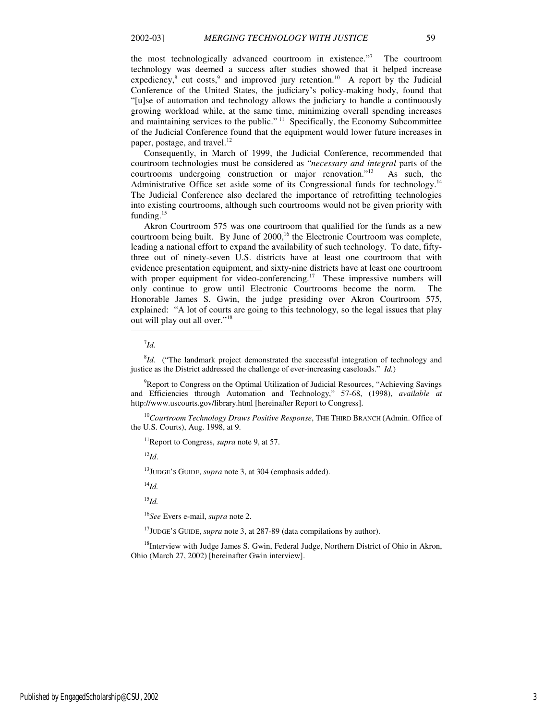the most technologically advanced courtroom in existence."<sup>7</sup> The courtroom technology was deemed a success after studies showed that it helped increase expediency, $^8$  cut costs, $^9$  and improved jury retention.<sup>10</sup> A report by the Judicial Conference of the United States, the judiciary's policy-making body, found that "[u]se of automation and technology allows the judiciary to handle a continuously growing workload while, at the same time, minimizing overall spending increases and maintaining services to the public."<sup>11</sup> Specifically, the Economy Subcommittee of the Judicial Conference found that the equipment would lower future increases in paper, postage, and travel.<sup>12</sup>

Consequently, in March of 1999, the Judicial Conference, recommended that courtroom technologies must be considered as "*necessary and integral* parts of the courtrooms undergoing construction or major renovation."<sup>13</sup> As such, the Administrative Office set aside some of its Congressional funds for technology.<sup>14</sup> The Judicial Conference also declared the importance of retrofitting technologies into existing courtrooms, although such courtrooms would not be given priority with funding.<sup>15</sup>

Akron Courtroom 575 was one courtroom that qualified for the funds as a new courtroom being built. By June of  $2000$ ,<sup>16</sup> the Electronic Courtroom was complete, leading a national effort to expand the availability of such technology. To date, fiftythree out of ninety-seven U.S. districts have at least one courtroom that with evidence presentation equipment, and sixty-nine districts have at least one courtroom with proper equipment for video-conferencing.<sup>17</sup> These impressive numbers will only continue to grow until Electronic Courtrooms become the norm. The Honorable James S. Gwin, the judge presiding over Akron Courtroom 575, explained: "A lot of courts are going to this technology, so the legal issues that play out will play out all over."<sup>18</sup>

7 *Id.*

1

<sup>10</sup>*Courtroom Technology Draws Positive Response*, THE THIRD BRANCH (Admin. Office of the U.S. Courts), Aug. 1998, at 9.

<sup>11</sup>Report to Congress, *supra* note 9, at 57.

<sup>12</sup>*Id*.

<sup>13</sup>JUDGE'S GUIDE, *supra* note 3, at 304 (emphasis added).

<sup>14</sup>*Id.*

<sup>15</sup>*Id.*

<sup>16</sup>*See* Evers e-mail, *supra* note 2.

<sup>17</sup>JUDGE'S GUIDE, *supra* note 3, at 287-89 (data compilations by author).

<sup>18</sup>Interview with Judge James S. Gwin, Federal Judge, Northern District of Ohio in Akron, Ohio (March 27, 2002) [hereinafter Gwin interview].

<sup>&</sup>lt;sup>8</sup>Id. ("The landmark project demonstrated the successful integration of technology and justice as the District addressed the challenge of ever-increasing caseloads." *Id.*)

 $9^9$ Report to Congress on the Optimal Utilization of Judicial Resources, "Achieving Savings" and Efficiencies through Automation and Technology," 57-68, (1998), *available at* http://www.uscourts.gov/library.html [hereinafter Report to Congress].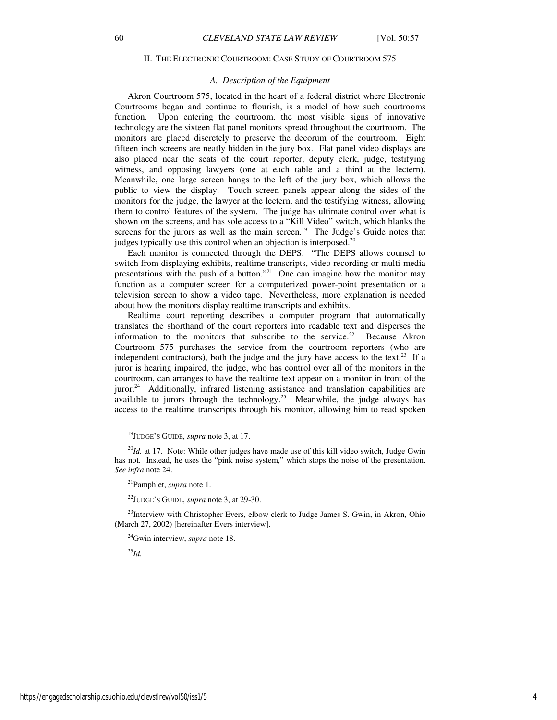## II. THE ELECTRONIC COURTROOM: CASE STUDY OF COURTROOM 575

# *A. Description of the Equipment*

Akron Courtroom 575, located in the heart of a federal district where Electronic Courtrooms began and continue to flourish, is a model of how such courtrooms function. Upon entering the courtroom, the most visible signs of innovative technology are the sixteen flat panel monitors spread throughout the courtroom. The monitors are placed discretely to preserve the decorum of the courtroom. Eight fifteen inch screens are neatly hidden in the jury box. Flat panel video displays are also placed near the seats of the court reporter, deputy clerk, judge, testifying witness, and opposing lawyers (one at each table and a third at the lectern). Meanwhile, one large screen hangs to the left of the jury box, which allows the public to view the display. Touch screen panels appear along the sides of the monitors for the judge, the lawyer at the lectern, and the testifying witness, allowing them to control features of the system. The judge has ultimate control over what is shown on the screens, and has sole access to a "Kill Video" switch, which blanks the screens for the jurors as well as the main screen.<sup>19</sup> The Judge's Guide notes that judges typically use this control when an objection is interposed.<sup>20</sup>

Each monitor is connected through the DEPS. "The DEPS allows counsel to switch from displaying exhibits, realtime transcripts, video recording or multi-media presentations with the push of a button."<sup>21</sup> One can imagine how the monitor may function as a computer screen for a computerized power-point presentation or a television screen to show a video tape. Nevertheless, more explanation is needed about how the monitors display realtime transcripts and exhibits.

Realtime court reporting describes a computer program that automatically translates the shorthand of the court reporters into readable text and disperses the information to the monitors that subscribe to the service.<sup>22</sup> Because Akron Courtroom 575 purchases the service from the courtroom reporters (who are independent contractors), both the judge and the jury have access to the text.<sup>23</sup> If a juror is hearing impaired, the judge, who has control over all of the monitors in the courtroom, can arranges to have the realtime text appear on a monitor in front of the juror.<sup>24</sup> Additionally, infrared listening assistance and translation capabilities are available to jurors through the technology.<sup>25</sup> Meanwhile, the judge always has access to the realtime transcripts through his monitor, allowing him to read spoken

<sup>22</sup>JUDGE'S GUIDE, *supra* note 3, at 29-30.

<sup>23</sup>Interview with Christopher Evers, elbow clerk to Judge James S. Gwin, in Akron, Ohio (March 27, 2002) [hereinafter Evers interview].

<sup>24</sup>Gwin interview, *supra* note 18.

<sup>25</sup>*Id.*

j

<sup>19</sup>JUDGE'S GUIDE, *supra* note 3, at 17.

<sup>&</sup>lt;sup>20</sup>*Id.* at 17. Note: While other judges have made use of this kill video switch, Judge Gwin has not. Instead, he uses the "pink noise system," which stops the noise of the presentation. *See infra* note 24.

<sup>21</sup>Pamphlet, *supra* note 1.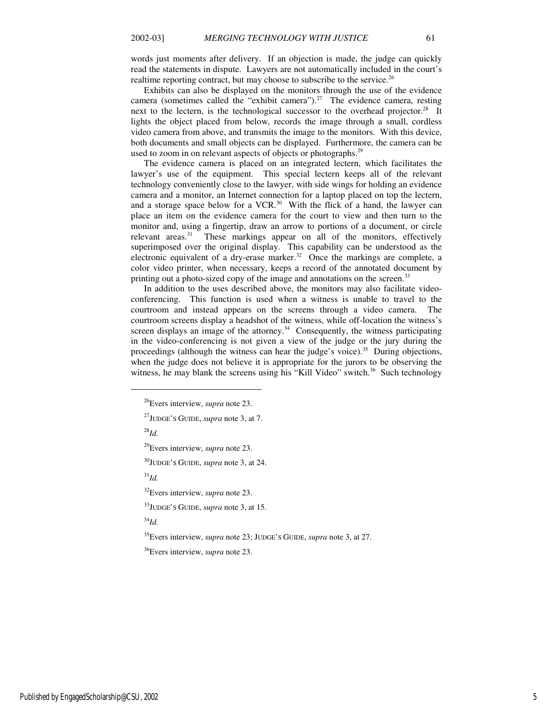words just moments after delivery. If an objection is made, the judge can quickly read the statements in dispute. Lawyers are not automatically included in the court's realtime reporting contract, but may choose to subscribe to the service.<sup>26</sup>

Exhibits can also be displayed on the monitors through the use of the evidence camera (sometimes called the "exhibit camera").<sup>27</sup> The evidence camera, resting next to the lectern, is the technological successor to the overhead projector.<sup>28</sup> It lights the object placed from below, records the image through a small, cordless video camera from above, and transmits the image to the monitors. With this device, both documents and small objects can be displayed. Furthermore, the camera can be used to zoom in on relevant aspects of objects or photographs.<sup>29</sup>

The evidence camera is placed on an integrated lectern, which facilitates the lawyer's use of the equipment. This special lectern keeps all of the relevant technology conveniently close to the lawyer, with side wings for holding an evidence camera and a monitor, an Internet connection for a laptop placed on top the lectern, and a storage space below for a  $VCR$ <sup>30</sup> With the flick of a hand, the lawyer can place an item on the evidence camera for the court to view and then turn to the monitor and, using a fingertip, draw an arrow to portions of a document, or circle relevant areas.<sup>31</sup> These markings appear on all of the monitors, effectively superimposed over the original display. This capability can be understood as the electronic equivalent of a dry-erase marker. $32$  Once the markings are complete, a color video printer, when necessary, keeps a record of the annotated document by printing out a photo-sized copy of the image and annotations on the screen.<sup>33</sup>

In addition to the uses described above, the monitors may also facilitate videoconferencing. This function is used when a witness is unable to travel to the courtroom and instead appears on the screens through a video camera. The courtroom screens display a headshot of the witness, while off-location the witness's screen displays an image of the attorney.<sup>34</sup> Consequently, the witness participating in the video-conferencing is not given a view of the judge or the jury during the proceedings (although the witness can hear the judge's voice).<sup>35</sup> During objections, when the judge does not believe it is appropriate for the jurors to be observing the witness, he may blank the screens using his "Kill Video" switch. $36$  Such technology

 $^{28}$ *Id.* 

j

<sup>31</sup>*Id.*

<sup>34</sup>*Id.*

<sup>35</sup>Evers interview, *supra* note 23; JUDGE'S GUIDE, *supra* note 3, at 27.

<sup>36</sup>Evers interview, *supra* note 23.

<sup>26</sup>Evers interview, *supra* note 23.

<sup>27</sup>JUDGE'S GUIDE, *supra* note 3, at 7.

<sup>29</sup>Evers interview, *supra* note 23.

<sup>30</sup>JUDGE'S GUIDE, *supra* note 3, at 24.

<sup>32</sup>Evers interview, *supra* note 23.

<sup>33</sup>JUDGE'S GUIDE, *supra* note 3, at 15.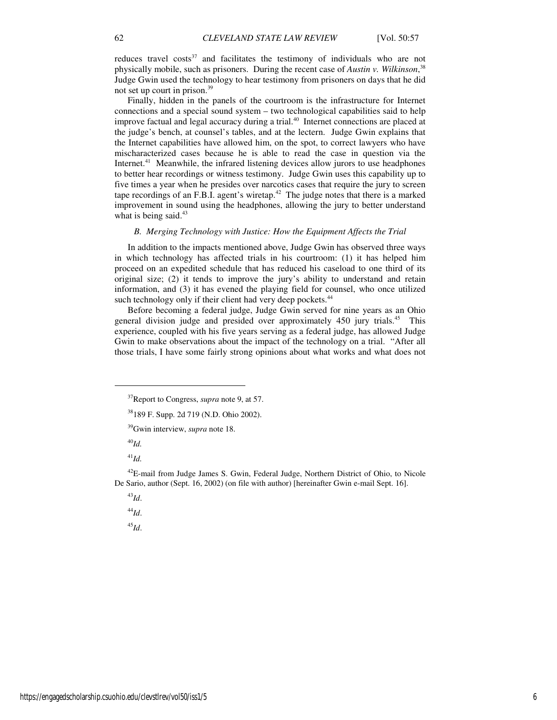reduces travel  $costs<sup>37</sup>$  and facilitates the testimony of individuals who are not physically mobile, such as prisoners. During the recent case of *Austin v. Wilkinson*, 38 Judge Gwin used the technology to hear testimony from prisoners on days that he did not set up court in prison.<sup>39</sup>

Finally, hidden in the panels of the courtroom is the infrastructure for Internet connections and a special sound system – two technological capabilities said to help improve factual and legal accuracy during a trial.<sup>40</sup> Internet connections are placed at the judge's bench, at counsel's tables, and at the lectern. Judge Gwin explains that the Internet capabilities have allowed him, on the spot, to correct lawyers who have mischaracterized cases because he is able to read the case in question via the Internet. $41$  Meanwhile, the infrared listening devices allow jurors to use headphones to better hear recordings or witness testimony. Judge Gwin uses this capability up to five times a year when he presides over narcotics cases that require the jury to screen tape recordings of an F.B.I. agent's wiretap. $42$  The judge notes that there is a marked improvement in sound using the headphones, allowing the jury to better understand what is being said.<sup>43</sup>

#### *B. Merging Technology with Justice: How the Equipment Affects the Trial*

In addition to the impacts mentioned above, Judge Gwin has observed three ways in which technology has affected trials in his courtroom: (1) it has helped him proceed on an expedited schedule that has reduced his caseload to one third of its original size; (2) it tends to improve the jury's ability to understand and retain information, and (3) it has evened the playing field for counsel, who once utilized such technology only if their client had very deep pockets.<sup>44</sup>

Before becoming a federal judge, Judge Gwin served for nine years as an Ohio general division judge and presided over approximately 450 jury trials.<sup>45</sup> This experience, coupled with his five years serving as a federal judge, has allowed Judge Gwin to make observations about the impact of the technology on a trial. "After all those trials, I have some fairly strong opinions about what works and what does not

<sup>40</sup>*Id.*

j

<sup>41</sup>*Id.*

<sup>42</sup>E-mail from Judge James S. Gwin, Federal Judge, Northern District of Ohio, to Nicole De Sario, author (Sept. 16, 2002) (on file with author) [hereinafter Gwin e-mail Sept. 16].

<sup>43</sup>*Id*. <sup>44</sup>*Id*.

<sup>45</sup>*Id*.

<sup>37</sup>Report to Congress, *supra* note 9, at 57.

<sup>38</sup>189 F. Supp. 2d 719 (N.D. Ohio 2002).

<sup>39</sup>Gwin interview, *supra* note 18.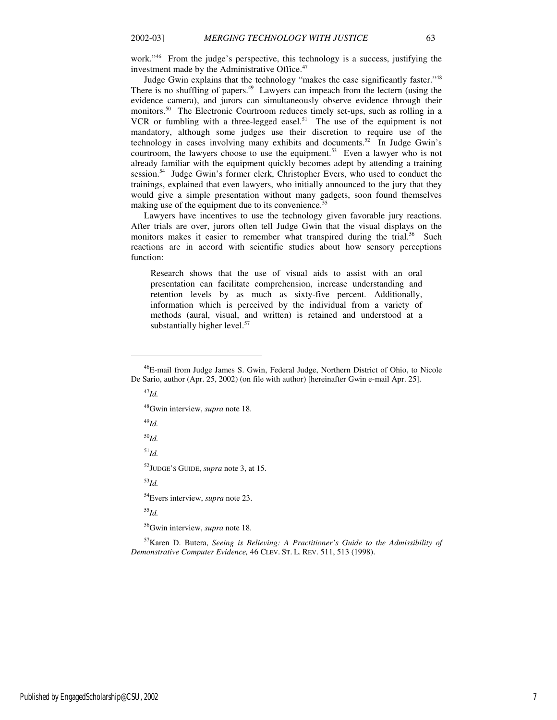work."<sup>46</sup> From the judge's perspective, this technology is a success, justifying the investment made by the Administrative Office.<sup>47</sup>

Judge Gwin explains that the technology "makes the case significantly faster."<sup>48</sup> There is no shuffling of papers.<sup>49</sup> Lawyers can impeach from the lectern (using the evidence camera), and jurors can simultaneously observe evidence through their monitors.<sup>50</sup> The Electronic Courtroom reduces timely set-ups, such as rolling in a VCR or fumbling with a three-legged easel.<sup>51</sup> The use of the equipment is not mandatory, although some judges use their discretion to require use of the technology in cases involving many exhibits and documents.<sup>52</sup> In Judge Gwin's courtroom, the lawyers choose to use the equipment.<sup>53</sup> Even a lawyer who is not already familiar with the equipment quickly becomes adept by attending a training session.<sup>54</sup> Judge Gwin's former clerk, Christopher Evers, who used to conduct the trainings, explained that even lawyers, who initially announced to the jury that they would give a simple presentation without many gadgets, soon found themselves making use of the equipment due to its convenience.<sup>55</sup>

Lawyers have incentives to use the technology given favorable jury reactions. After trials are over, jurors often tell Judge Gwin that the visual displays on the monitors makes it easier to remember what transpired during the trial.<sup>56</sup> Such reactions are in accord with scientific studies about how sensory perceptions function:

Research shows that the use of visual aids to assist with an oral presentation can facilitate comprehension, increase understanding and retention levels by as much as sixty-five percent. Additionally, information which is perceived by the individual from a variety of methods (aural, visual, and written) is retained and understood at a substantially higher level.<sup>57</sup>

<sup>47</sup>*Id.*

j

<sup>48</sup>Gwin interview, *supra* note 18.

<sup>49</sup>*Id.*

<sup>50</sup>*Id.*

<sup>51</sup>*Id.*

<sup>52</sup>JUDGE'S GUIDE, *supra* note 3, at 15.

<sup>53</sup>*Id.*

<sup>54</sup>Evers interview, *supra* note 23.

<sup>55</sup>*Id.*

<sup>56</sup>Gwin interview, *supra* note 18.

<sup>57</sup>Karen D. Butera, *Seeing is Believing: A Practitioner's Guide to the Admissibility of Demonstrative Computer Evidence,* 46 CLEV. ST. L. REV. 511, 513 (1998).

<sup>46</sup>E-mail from Judge James S. Gwin, Federal Judge, Northern District of Ohio, to Nicole De Sario, author (Apr. 25, 2002) (on file with author) [hereinafter Gwin e-mail Apr. 25].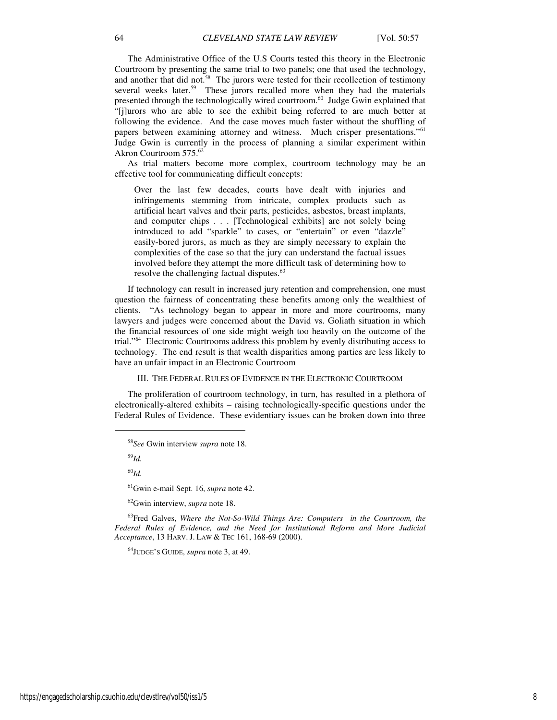The Administrative Office of the U.S Courts tested this theory in the Electronic Courtroom by presenting the same trial to two panels; one that used the technology, and another that did not.<sup>58</sup> The jurors were tested for their recollection of testimony several weeks later.<sup>59</sup> These jurors recalled more when they had the materials presented through the technologically wired courtroom.<sup>60</sup> Judge Gwin explained that "[j]urors who are able to see the exhibit being referred to are much better at following the evidence. And the case moves much faster without the shuffling of papers between examining attorney and witness. Much crisper presentations."<sup>61</sup> Judge Gwin is currently in the process of planning a similar experiment within Akron Courtroom 575.<sup>62</sup>

As trial matters become more complex, courtroom technology may be an effective tool for communicating difficult concepts:

Over the last few decades, courts have dealt with injuries and infringements stemming from intricate, complex products such as artificial heart valves and their parts, pesticides, asbestos, breast implants, and computer chips . . . [Technological exhibits] are not solely being introduced to add "sparkle" to cases, or "entertain" or even "dazzle" easily-bored jurors, as much as they are simply necessary to explain the complexities of the case so that the jury can understand the factual issues involved before they attempt the more difficult task of determining how to resolve the challenging factual disputes.<sup>63</sup>

If technology can result in increased jury retention and comprehension, one must question the fairness of concentrating these benefits among only the wealthiest of clients. "As technology began to appear in more and more courtrooms, many lawyers and judges were concerned about the David vs. Goliath situation in which the financial resources of one side might weigh too heavily on the outcome of the trial."<sup>64</sup> Electronic Courtrooms address this problem by evenly distributing access to technology. The end result is that wealth disparities among parties are less likely to have an unfair impact in an Electronic Courtroom

III. THE FEDERAL RULES OF EVIDENCE IN THE ELECTRONIC COURTROOM

The proliferation of courtroom technology, in turn, has resulted in a plethora of electronically-altered exhibits – raising technologically-specific questions under the Federal Rules of Evidence. These evidentiary issues can be broken down into three

<sup>59</sup>*Id.*

 $\overline{a}$ 

<sup>60</sup>*Id.*

<sup>61</sup>Gwin e-mail Sept. 16, *supra* note 42.

<sup>62</sup>Gwin interview, *supra* note 18.

<sup>63</sup>Fred Galves, *Where the Not-So-Wild Things Are: Computers in the Courtroom, the Federal Rules of Evidence, and the Need for Institutional Reform and More Judicial Acceptance*, 13 HARV. J. LAW & TEC 161, 168-69 (2000).

<sup>64</sup>JUDGE'S GUIDE, *supra* note 3, at 49.

<sup>58</sup>*See* Gwin interview *supra* note 18.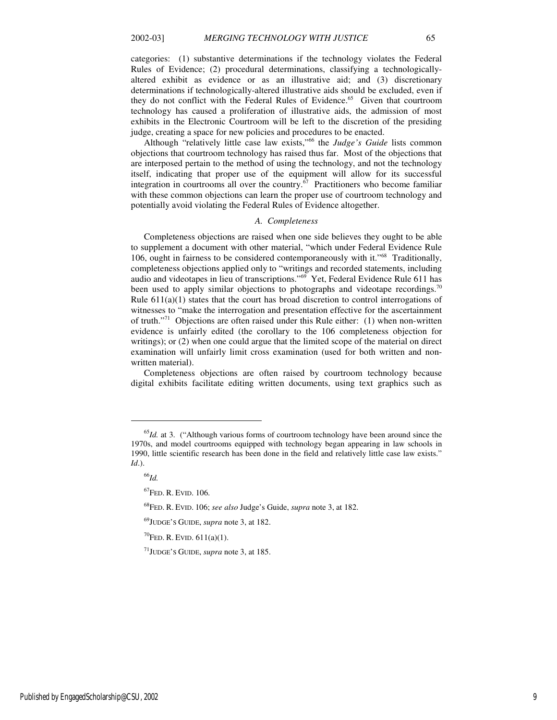categories: (1) substantive determinations if the technology violates the Federal Rules of Evidence; (2) procedural determinations, classifying a technologicallyaltered exhibit as evidence or as an illustrative aid; and (3) discretionary determinations if technologically-altered illustrative aids should be excluded, even if they do not conflict with the Federal Rules of Evidence.<sup>65</sup> Given that courtroom technology has caused a proliferation of illustrative aids, the admission of most exhibits in the Electronic Courtroom will be left to the discretion of the presiding judge, creating a space for new policies and procedures to be enacted.

Although "relatively little case law exists,"<sup>66</sup> the *Judge's Guide* lists common objections that courtroom technology has raised thus far. Most of the objections that are interposed pertain to the method of using the technology, and not the technology itself, indicating that proper use of the equipment will allow for its successful integration in courtrooms all over the country.<sup> $67$ </sup> Practitioners who become familiar with these common objections can learn the proper use of courtroom technology and potentially avoid violating the Federal Rules of Evidence altogether.

#### *A. Completeness*

Completeness objections are raised when one side believes they ought to be able to supplement a document with other material, "which under Federal Evidence Rule 106, ought in fairness to be considered contemporaneously with it."<sup>68</sup> Traditionally, completeness objections applied only to "writings and recorded statements, including audio and videotapes in lieu of transcriptions."<sup>69</sup> Yet, Federal Evidence Rule 611 has been used to apply similar objections to photographs and videotape recordings.<sup>70</sup> Rule  $611(a)(1)$  states that the court has broad discretion to control interrogations of witnesses to "make the interrogation and presentation effective for the ascertainment of truth."<sup>71</sup> Objections are often raised under this Rule either: (1) when non-written evidence is unfairly edited (the corollary to the 106 completeness objection for writings); or (2) when one could argue that the limited scope of the material on direct examination will unfairly limit cross examination (used for both written and nonwritten material).

Completeness objections are often raised by courtroom technology because digital exhibits facilitate editing written documents, using text graphics such as

<sup>66</sup>*Id.*

j

<sup>&</sup>lt;sup>65</sup>*Id.* at 3. ("Although various forms of courtroom technology have been around since the 1970s, and model courtrooms equipped with technology began appearing in law schools in 1990, little scientific research has been done in the field and relatively little case law exists." *Id*.).

<sup>67</sup>FED. R. EVID. 106.

<sup>68</sup>FED. R. EVID. 106; *see also* Judge's Guide, *supra* note 3, at 182.

<sup>69</sup>JUDGE'S GUIDE, *supra* note 3, at 182.

 $^{70}$ FED. R. EVID. 611(a)(1).

<sup>71</sup>JUDGE'S GUIDE, *supra* note 3, at 185.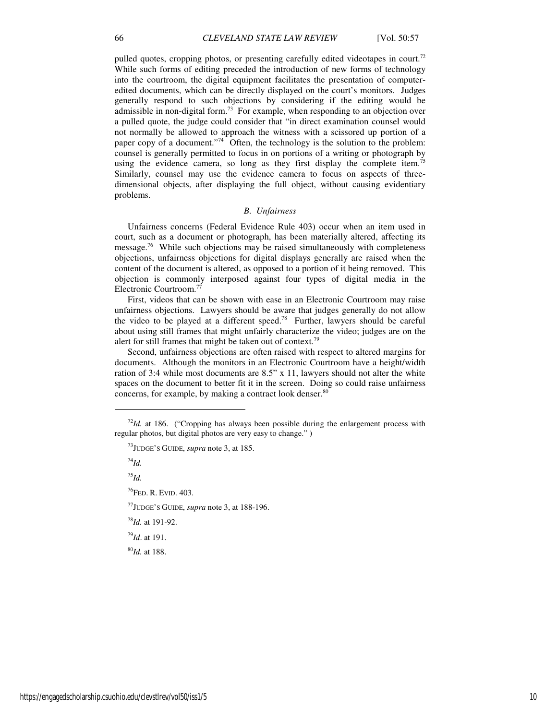pulled quotes, cropping photos, or presenting carefully edited videotapes in court.<sup>72</sup> While such forms of editing preceded the introduction of new forms of technology into the courtroom, the digital equipment facilitates the presentation of computeredited documents, which can be directly displayed on the court's monitors. Judges generally respond to such objections by considering if the editing would be admissible in non-digital form.<sup>73</sup> For example, when responding to an objection over a pulled quote, the judge could consider that "in direct examination counsel would not normally be allowed to approach the witness with a scissored up portion of a paper copy of a document."<sup>74</sup> Often, the technology is the solution to the problem: counsel is generally permitted to focus in on portions of a writing or photograph by using the evidence camera, so long as they first display the complete item.<sup>7</sup> Similarly, counsel may use the evidence camera to focus on aspects of threedimensional objects, after displaying the full object, without causing evidentiary problems.

# *B. Unfairness*

Unfairness concerns (Federal Evidence Rule 403) occur when an item used in court, such as a document or photograph, has been materially altered, affecting its message.<sup>76</sup> While such objections may be raised simultaneously with completeness objections, unfairness objections for digital displays generally are raised when the content of the document is altered, as opposed to a portion of it being removed. This objection is commonly interposed against four types of digital media in the Electronic Courtroom.<sup>7</sup>

First, videos that can be shown with ease in an Electronic Courtroom may raise unfairness objections. Lawyers should be aware that judges generally do not allow the video to be played at a different speed.<sup>78</sup> Further, lawyers should be careful about using still frames that might unfairly characterize the video; judges are on the alert for still frames that might be taken out of context.<sup>79</sup>

Second, unfairness objections are often raised with respect to altered margins for documents. Although the monitors in an Electronic Courtroom have a height/width ration of 3:4 while most documents are 8.5" x 11, lawyers should not alter the white spaces on the document to better fit it in the screen. Doing so could raise unfairness concerns, for example, by making a contract look denser.<sup>80</sup>  $\overline{a}$ 

<sup>73</sup>JUDGE'S GUIDE, *supra* note 3, at 185.

<sup>74</sup>*Id.*

j

<sup>75</sup>*Id.*

<sup>76</sup>FED. R. EVID. 403.

<sup>77</sup>JUDGE'S GUIDE, *supra* note 3, at 188-196.

<sup>78</sup>*Id.* at 191-92.

<sup>79</sup>*Id*. at 191.

<sup>80</sup>*Id.* at 188.

 $72$ *Id.* at 186. ("Cropping has always been possible during the enlargement process with regular photos, but digital photos are very easy to change." )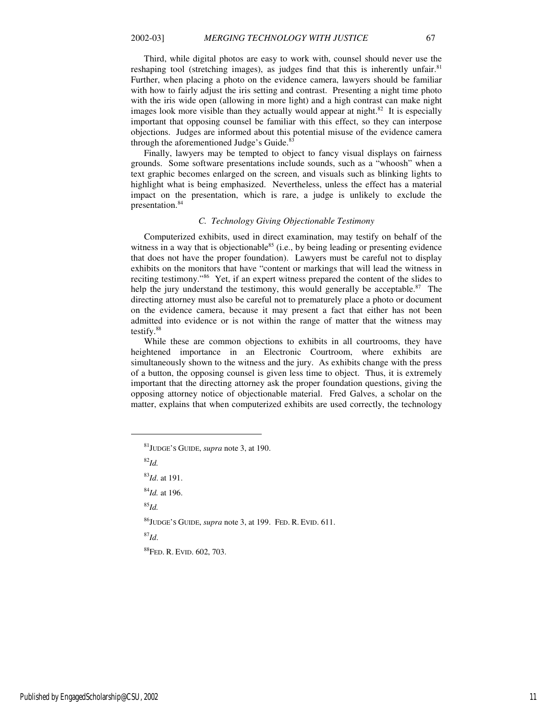Third, while digital photos are easy to work with, counsel should never use the reshaping tool (stretching images), as judges find that this is inherently unfair.<sup>81</sup> Further, when placing a photo on the evidence camera, lawyers should be familiar with how to fairly adjust the iris setting and contrast. Presenting a night time photo with the iris wide open (allowing in more light) and a high contrast can make night images look more visible than they actually would appear at night.<sup>82</sup> It is especially important that opposing counsel be familiar with this effect, so they can interpose objections. Judges are informed about this potential misuse of the evidence camera through the aforementioned Judge's Guide.<sup>83</sup>

Finally, lawyers may be tempted to object to fancy visual displays on fairness grounds. Some software presentations include sounds, such as a "whoosh" when a text graphic becomes enlarged on the screen, and visuals such as blinking lights to highlight what is being emphasized. Nevertheless, unless the effect has a material impact on the presentation, which is rare, a judge is unlikely to exclude the presentation.<sup>84</sup>

# *C. Technology Giving Objectionable Testimony*

Computerized exhibits, used in direct examination, may testify on behalf of the witness in a way that is objectionable<sup>85</sup> (i.e., by being leading or presenting evidence that does not have the proper foundation). Lawyers must be careful not to display exhibits on the monitors that have "content or markings that will lead the witness in reciting testimony."<sup>86</sup> Yet, if an expert witness prepared the content of the slides to help the jury understand the testimony, this would generally be acceptable.<sup>87</sup> The directing attorney must also be careful not to prematurely place a photo or document on the evidence camera, because it may present a fact that either has not been admitted into evidence or is not within the range of matter that the witness may testify.<sup>88</sup>

While these are common objections to exhibits in all courtrooms, they have heightened importance in an Electronic Courtroom, where exhibits are simultaneously shown to the witness and the jury. As exhibits change with the press of a button, the opposing counsel is given less time to object. Thus, it is extremely important that the directing attorney ask the proper foundation questions, giving the opposing attorney notice of objectionable material. Fred Galves, a scholar on the matter, explains that when computerized exhibits are used correctly, the technology

<sup>82</sup>*Id.*

j

<sup>83</sup>*Id*. at 191.

<sup>84</sup>*Id.* at 196.

<sup>85</sup>*Id.*

<sup>86</sup>JUDGE'S GUIDE, *supra* note 3, at 199. FED. R. EVID. 611.

<sup>87</sup>*Id*.

<sup>88</sup>FED. R. EVID. 602, 703.

<sup>81</sup>JUDGE'S GUIDE, *supra* note 3, at 190.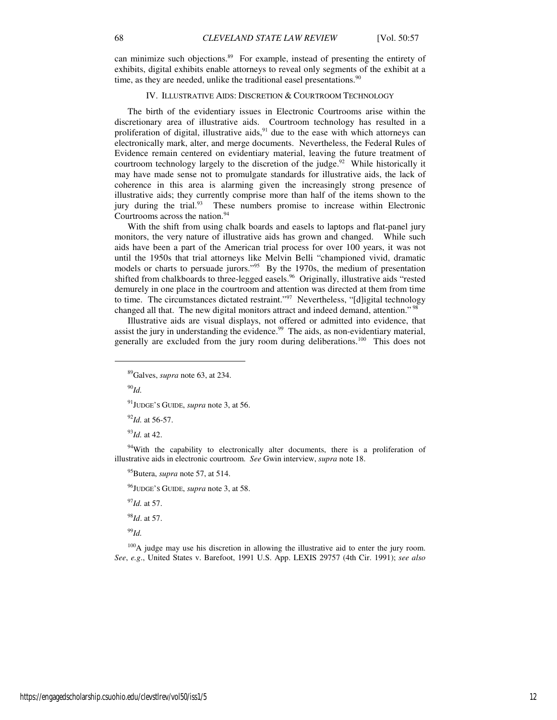can minimize such objections.<sup>89</sup> For example, instead of presenting the entirety of exhibits, digital exhibits enable attorneys to reveal only segments of the exhibit at a time, as they are needed, unlike the traditional easel presentations.  $90$ 

# IV. ILLUSTRATIVE AIDS: DISCRETION & COURTROOM TECHNOLOGY

The birth of the evidentiary issues in Electronic Courtrooms arise within the discretionary area of illustrative aids. Courtroom technology has resulted in a proliferation of digital, illustrative aids,  $91$  due to the ease with which attorneys can electronically mark, alter, and merge documents. Nevertheless, the Federal Rules of Evidence remain centered on evidentiary material, leaving the future treatment of courtroom technology largely to the discretion of the judge.<sup>92</sup> While historically it may have made sense not to promulgate standards for illustrative aids, the lack of coherence in this area is alarming given the increasingly strong presence of illustrative aids; they currently comprise more than half of the items shown to the jury during the trial. $93$  These numbers promise to increase within Electronic Courtrooms across the nation.<sup>94</sup>

With the shift from using chalk boards and easels to laptops and flat-panel jury monitors, the very nature of illustrative aids has grown and changed. While such aids have been a part of the American trial process for over 100 years, it was not until the 1950s that trial attorneys like Melvin Belli "championed vivid, dramatic models or charts to persuade jurors."<sup>95</sup> By the 1970s, the medium of presentation shifted from chalkboards to three-legged easels.<sup>96</sup> Originally, illustrative aids "rested demurely in one place in the courtroom and attention was directed at them from time to time. The circumstances dictated restraint."<sup>97</sup> Nevertheless, "[d]igital technology changed all that. The new digital monitors attract and indeed demand, attention."<sup>98</sup>

Illustrative aids are visual displays, not offered or admitted into evidence, that assist the jury in understanding the evidence.<sup>99</sup> The aids, as non-evidentiary material, generally are excluded from the jury room during deliberations.<sup>100</sup> This does not

<sup>90</sup>*Id.*

j

<sup>91</sup>JUDGE'S GUIDE, *supra* note 3, at 56.

<sup>92</sup>*Id.* at 56-57.

<sup>93</sup>*Id.* at 42.

 $94$ With the capability to electronically alter documents, there is a proliferation of illustrative aids in electronic courtroom. *See* Gwin interview, *supra* note 18.

<sup>95</sup>Butera, *supra* note 57, at 514.

<sup>96</sup>JUDGE'S GUIDE, *supra* note 3, at 58.

<sup>97</sup>*Id.* at 57.

<sup>98</sup>*Id*. at 57.

<sup>99</sup>*Id.*

 $100A$  judge may use his discretion in allowing the illustrative aid to enter the jury room. *See*, *e.g*., United States v. Barefoot, 1991 U.S. App. LEXIS 29757 (4th Cir. 1991); *see also*

<sup>89</sup>Galves, *supra* note 63, at 234.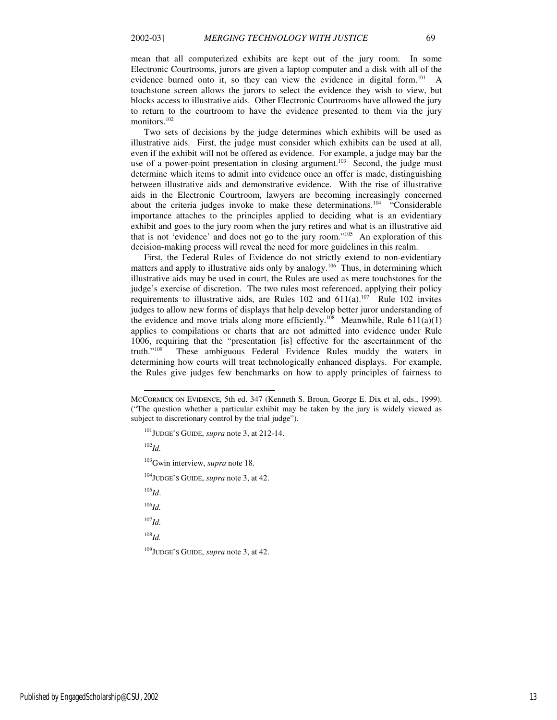mean that all computerized exhibits are kept out of the jury room. In some Electronic Courtrooms, jurors are given a laptop computer and a disk with all of the evidence burned onto it, so they can view the evidence in digital form.<sup>101</sup> A touchstone screen allows the jurors to select the evidence they wish to view, but blocks access to illustrative aids. Other Electronic Courtrooms have allowed the jury to return to the courtroom to have the evidence presented to them via the jury monitors.<sup>102</sup>

Two sets of decisions by the judge determines which exhibits will be used as illustrative aids. First, the judge must consider which exhibits can be used at all, even if the exhibit will not be offered as evidence. For example, a judge may bar the use of a power-point presentation in closing argument.<sup>103</sup> Second, the judge must determine which items to admit into evidence once an offer is made, distinguishing between illustrative aids and demonstrative evidence. With the rise of illustrative aids in the Electronic Courtroom, lawyers are becoming increasingly concerned about the criteria judges invoke to make these determinations.<sup>104</sup> "Considerable importance attaches to the principles applied to deciding what is an evidentiary exhibit and goes to the jury room when the jury retires and what is an illustrative aid that is not 'evidence' and does not go to the jury room."<sup>105</sup> An exploration of this decision-making process will reveal the need for more guidelines in this realm.

First, the Federal Rules of Evidence do not strictly extend to non-evidentiary matters and apply to illustrative aids only by analogy.<sup>106</sup> Thus, in determining which illustrative aids may be used in court, the Rules are used as mere touchstones for the judge's exercise of discretion. The two rules most referenced, applying their policy requirements to illustrative aids, are Rules  $102$  and  $611(a)$ .<sup>107</sup> Rule 102 invites judges to allow new forms of displays that help develop better juror understanding of the evidence and move trials along more efficiently.<sup>108</sup> Meanwhile, Rule  $611(a)(1)$ applies to compilations or charts that are not admitted into evidence under Rule 1006, requiring that the "presentation [is] effective for the ascertainment of the truth."<sup>109</sup> These ambiguous Federal Evidence Rules muddy the waters in determining how courts will treat technologically enhanced displays. For example, the Rules give judges few benchmarks on how to apply principles of fairness to

<sup>101</sup>JUDGE'S GUIDE, *supra* note 3, at 212-14. <sup>102</sup>*Id.* <sup>103</sup>Gwin interview, *supra* note 18. <sup>104</sup>JUDGE'S GUIDE, *supra* note 3, at 42. <sup>105</sup>*Id*.  $^{106}$ *Id.* <sup>107</sup>*Id.*

<sup>108</sup>*Id.*

j

<sup>109</sup>JUDGE'S GUIDE, *supra* note 3, at 42.

MCCORMICK ON EVIDENCE, 5th ed. 347 (Kenneth S. Broun, George E. Dix et al, eds., 1999). ("The question whether a particular exhibit may be taken by the jury is widely viewed as subject to discretionary control by the trial judge").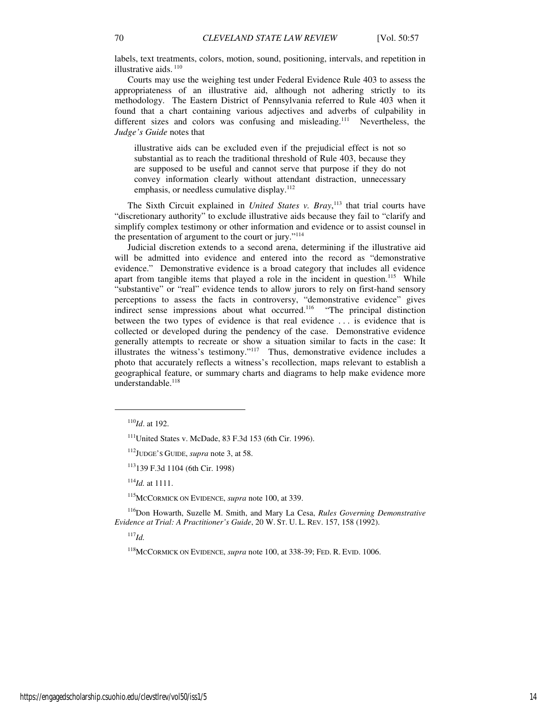labels, text treatments, colors, motion, sound, positioning, intervals, and repetition in illustrative aids.<sup>110</sup>

Courts may use the weighing test under Federal Evidence Rule 403 to assess the appropriateness of an illustrative aid, although not adhering strictly to its methodology. The Eastern District of Pennsylvania referred to Rule 403 when it found that a chart containing various adjectives and adverbs of culpability in different sizes and colors was confusing and misleading.<sup>111</sup> Nevertheless, the *Judge's Guide* notes that

illustrative aids can be excluded even if the prejudicial effect is not so substantial as to reach the traditional threshold of Rule 403, because they are supposed to be useful and cannot serve that purpose if they do not convey information clearly without attendant distraction, unnecessary emphasis, or needless cumulative display.<sup>112</sup>

The Sixth Circuit explained in *United States v. Bray*, <sup>113</sup> that trial courts have "discretionary authority" to exclude illustrative aids because they fail to "clarify and simplify complex testimony or other information and evidence or to assist counsel in the presentation of argument to the court or jury."<sup>114</sup>

Judicial discretion extends to a second arena, determining if the illustrative aid will be admitted into evidence and entered into the record as "demonstrative evidence." Demonstrative evidence is a broad category that includes all evidence apart from tangible items that played a role in the incident in question.<sup>115</sup> While "substantive" or "real" evidence tends to allow jurors to rely on first-hand sensory perceptions to assess the facts in controversy, "demonstrative evidence" gives indirect sense impressions about what occurred.<sup>116</sup> "The principal distinction between the two types of evidence is that real evidence . . . is evidence that is collected or developed during the pendency of the case. Demonstrative evidence generally attempts to recreate or show a situation similar to facts in the case: It illustrates the witness's testimony."<sup>117</sup> Thus, demonstrative evidence includes a photo that accurately reflects a witness's recollection, maps relevant to establish a geographical feature, or summary charts and diagrams to help make evidence more understandable.<sup>118</sup>

j

<sup>114</sup>*Id.* at 1111.

<sup>115</sup>MCCORMICK ON EVIDENCE, *supra* note 100, at 339.

<sup>116</sup>Don Howarth, Suzelle M. Smith, and Mary La Cesa, *Rules Governing Demonstrative Evidence at Trial: A Practitioner's Guide*, 20 W. ST. U. L. REV. 157, 158 (1992).

<sup>117</sup>*Id.*

<sup>118</sup>MCCORMICK ON EVIDENCE, *supra* note 100, at 338-39; FED. R. EVID. 1006.

<sup>110</sup>*Id*. at 192.

 $111$ United States v. McDade, 83 F.3d 153 (6th Cir. 1996).

<sup>112</sup>JUDGE'S GUIDE, *supra* note 3, at 58.

<sup>113</sup>139 F.3d 1104 (6th Cir. 1998)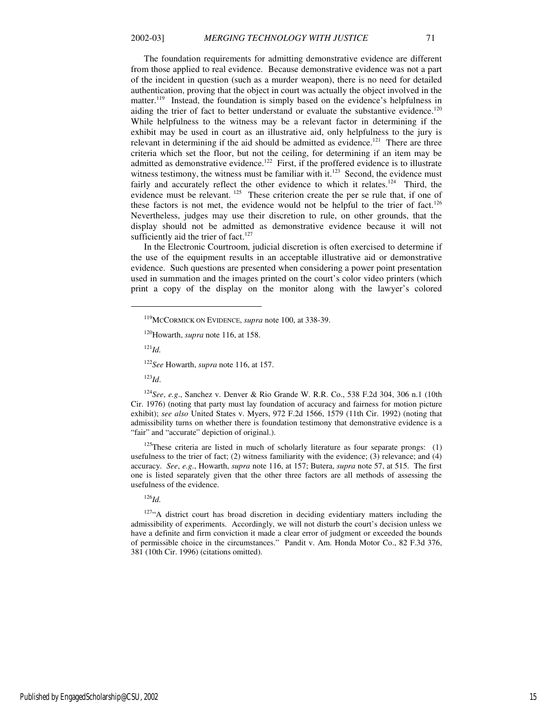The foundation requirements for admitting demonstrative evidence are different from those applied to real evidence. Because demonstrative evidence was not a part of the incident in question (such as a murder weapon), there is no need for detailed authentication, proving that the object in court was actually the object involved in the matter.<sup>119</sup> Instead, the foundation is simply based on the evidence's helpfulness in aiding the trier of fact to better understand or evaluate the substantive evidence.<sup>120</sup> While helpfulness to the witness may be a relevant factor in determining if the exhibit may be used in court as an illustrative aid, only helpfulness to the jury is relevant in determining if the aid should be admitted as evidence.<sup>121</sup> There are three criteria which set the floor, but not the ceiling, for determining if an item may be admitted as demonstrative evidence.<sup>122</sup> First, if the proffered evidence is to illustrate witness testimony, the witness must be familiar with it.<sup>123</sup> Second, the evidence must fairly and accurately reflect the other evidence to which it relates.<sup>124</sup> Third, the evidence must be relevant.<sup>125</sup> These criterion create the per se rule that, if one of these factors is not met, the evidence would not be helpful to the trier of fact.<sup>126</sup> Nevertheless, judges may use their discretion to rule, on other grounds, that the display should not be admitted as demonstrative evidence because it will not sufficiently aid the trier of fact.<sup>127</sup>

In the Electronic Courtroom, judicial discretion is often exercised to determine if the use of the equipment results in an acceptable illustrative aid or demonstrative evidence. Such questions are presented when considering a power point presentation used in summation and the images printed on the court's color video printers (which print a copy of the display on the monitor along with the lawyer's colored

<sup>121</sup>*Id.*

 $\overline{a}$ 

<sup>122</sup>*See* Howarth, *supra* note 116, at 157.

<sup>123</sup>*Id*.

<sup>124</sup>*See*, *e.g*., Sanchez v. Denver & Rio Grande W. R.R. Co., 538 F.2d 304, 306 n.1 (10th Cir. 1976) (noting that party must lay foundation of accuracy and fairness for motion picture exhibit); *see also* United States v. Myers, 972 F.2d 1566, 1579 (11th Cir. 1992) (noting that admissibility turns on whether there is foundation testimony that demonstrative evidence is a "fair" and "accurate" depiction of original.).

<sup>125</sup>These criteria are listed in much of scholarly literature as four separate prongs:  $(1)$ usefulness to the trier of fact; (2) witness familiarity with the evidence; (3) relevance; and (4) accuracy. *See*, *e.g*., Howarth, *supra* note 116, at 157; Butera, *supra* note 57, at 515. The first one is listed separately given that the other three factors are all methods of assessing the usefulness of the evidence.

<sup>126</sup>*Id.*

<sup>127</sup>"A district court has broad discretion in deciding evidentiary matters including the admissibility of experiments. Accordingly, we will not disturb the court's decision unless we have a definite and firm conviction it made a clear error of judgment or exceeded the bounds of permissible choice in the circumstances." Pandit v. Am. Honda Motor Co., 82 F.3d 376, 381 (10th Cir. 1996) (citations omitted).

<sup>119</sup>MCCORMICK ON EVIDENCE, *supra* note 100, at 338-39.

<sup>120</sup>Howarth, *supra* note 116, at 158.